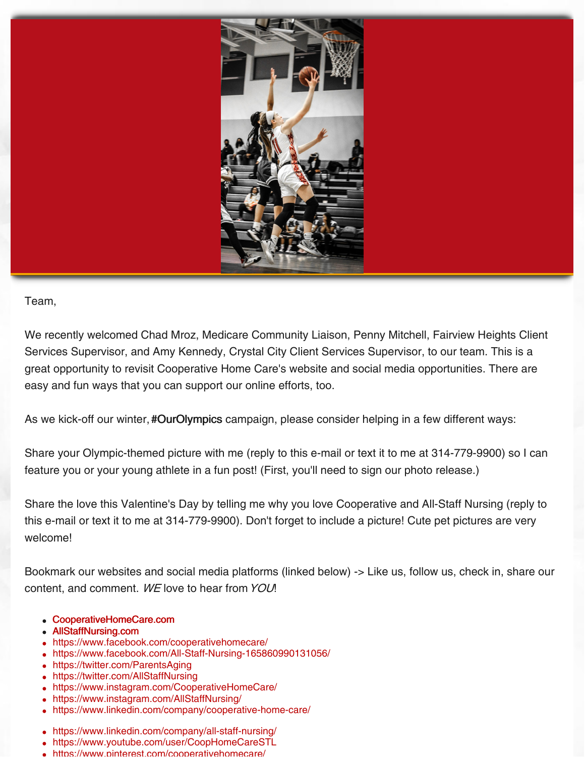

## Team,

We recently welcomed Chad Mroz, Medicare Community Liaison, Penny Mitchell, Fairview Heights Client Services Supervisor, and Amy Kennedy, Crystal City Client Services Supervisor, to our team. This is a great opportunity to revisit Cooperative Home Care's website and social media opportunities. There are easy and fun ways that you can support our online efforts, too.

As we kick-off our winter, #OurOlympics campaign, please consider helping in a few different ways:

Share your Olympic-themed picture with me (reply to this e-mail or text it to me at 314-779-9900) so I can feature you or your young athlete in a fun post! (First, you'll need to sign our photo release.)

Share the love this Valentine's Day by telling me why you love Cooperative and All-Staff Nursing (reply to this e-mail or text it to me at 314-779-9900). Don't forget to include a picture! Cute pet pictures are very welcome!

Bookmark our websites and social media platforms (linked below) -> Like us, follow us, check in, share our content, and comment. WE love to hear from YOU!

- [CooperativeHomeCare.com](https://cooperativehomecare.com/)
- [AllStaffNursing.com](https://allstaffnursing.com/)
- <https://www.facebook.com/cooperativehomecare/>
- <https://www.facebook.com/All-Staff-Nursing-165860990131056/>
- <https://twitter.com/ParentsAging>
- <https://twitter.com/AllStaffNursing>
- <https://www.instagram.com/CooperativeHomeCare/>
- <https://www.instagram.com/AllStaffNursing/>
- <https://www.linkedin.com/company/cooperative-home-care/>
- <https://www.linkedin.com/company/all-staff-nursing/>
- <https://www.youtube.com/user/CoopHomeCareSTL>  $\bullet$
- <https://www.pinterest.com/cooperativehomecare/>